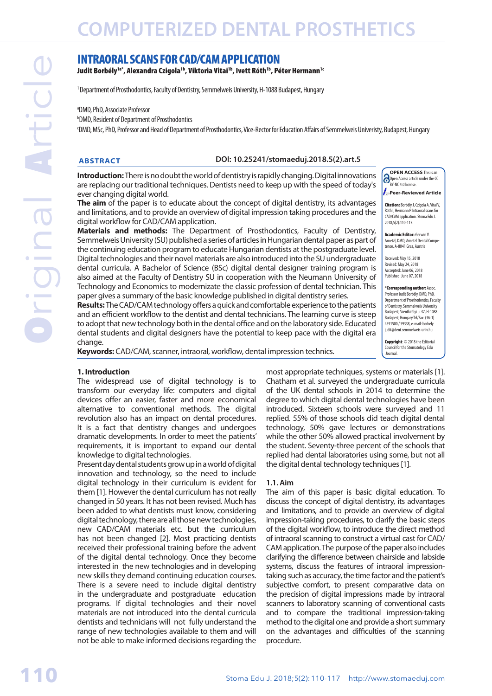# INTRAORAL SCANS FOR CAD/CAM APPLICATION

Judit Borbély<sup>1a\*</sup>, Alexandra Czigola<sup>1b</sup>, Viktoria Vitai<sup>1b</sup>, Ivett Róth<sup>1b</sup>, Péter Hermann<sup>1c</sup>

<sup>1</sup> Department of Prosthodontics, Faculty of Dentistry, Semmelweis University, H-1088 Budapest, Hungary

a DMD, PhD, Associate Professor

b DMD, Resident of Department of Prosthodontics

c DMD, MSc, PhD, Professor and Head of Department of Prosthodontics, Vice-Rector for Education Affairs of Semmelweis Univeristy, Budapest, Hungary

#### **ABSTRACT DOI: 10.25241/stomaeduj.2018.5(2).art.5**

**Introduction:** There is no doubt the world of dentistry is rapidly changing. Digital innovations are replacing our traditional techniques. Dentists need to keep up with the speed of today's ever changing digital world.

**The aim** of the paper is to educate about the concept of digital dentistry, its advantages and limitations, and to provide an overview of digital impression taking procedures and the digital workflow for CAD/CAM application.

**Materials and methods:** The Department of Prosthodontics, Faculty of Dentistry, Semmelweis University (SU) published a series of articles in Hungarian dental paper as part of the continuing education program to educate Hungarian dentists at the postgraduate level. Digital technologies and their novel materials are also introduced into the SU undergraduate dental curricula. A Bachelor of Science (BSc) digital dental designer training program is also aimed at the Faculty of Dentistry SU in cooperation with the Neumann University of Technology and Economics to modernizate the classic profession of dental technician. This paper gives a summary of the basic knowledge published in digital dentistry series.

**Results:** The CAD/CAM technology offers a quick and comfortable experience to the patients and an efficient workflow to the dentist and dental technicians. The learning curve is steep to adopt that new technology both in the dental office and on the laboratory side. Educated dental students and digital designers have the potential to keep pace with the digital era change.

**Keywords:** CAD/CAM, scanner, intraoral, workflow, dental impression technics.

#### **1. Introduction**

The widespread use of digital technology is to transform our everyday life: computers and digital devices offer an easier, faster and more economical alternative to conventional methods. The digital revolution also has an impact on dental procedures. It is a fact that dentistry changes and undergoes dramatic developments. In order to meet the patients' requirements, it is important to expand our dental knowledge to digital technologies.

Present day dental students grow up in a world of digital innovation and technology, so the need to include digital technology in their curriculum is evident for them [1]. However the dental curriculum has not really changed in 50 years. It has not been revised. Much has been added to what dentists must know, considering digital technology, there are all those new technologies, new CAD/CAM materials etc. but the curriculum has not been changed [2]. Most practicing dentists received their professional training before the advent of the digital dental technology. Once they become interested in the new technologies and in developing new skills they demand continuing education courses. There is a severe need to include digital dentistry in the undergraduate and postgraduate education programs. If digital technologies and their novel materials are not introduced into the dental curricula dentists and technicians will not fully understand the range of new technologies available to them and will not be able to make informed decisions regarding the

most appropriate techniques, systems or materials [1]. Chatham et al. surveyed the undergraduate curricula of the UK dental schools in 2014 to determine the degree to which digital dental technologies have been introduced. Sixteen schools were surveyed and 11 replied. 55% of those schools did teach digital dental technology, 50% gave lectures or demonstrations while the other 50% allowed practical involvement by the student. Seventy-three percent of the schools that replied had dental laboratories using some, but not all the digital dental technology techniques [1].

Journal.

**OPEN ACCESS** This is an Open Access article under the CC BY-NC 4.0 license **Peer-Reviewed Article** Citation: Borbély J, Czigola A, Vitai V, Róth I, Hermann P. Intraoral scans for CAD/CAM application. Stoma Edu J. 2018;5(2):110-117. **Academic Editor: Gerwin V.** Arnetzl, DMD, Arnetzl Dental Competence, A-8041 Graz, Austria Received: May 15, 2018 Revised: May 24, 2018 Acccepted: June 06, 2018 Published: June 07, 2018 \*Corresponding author: Assoc. Professor Judit Borbély, DMD, PhD, Department of Prosthodontics, Faculty of Dentistry, Semmelweis University Budapest, Szentkirályi u. 47, H-1088 Budapest, Hungary Tel/Fax: (36-1) 4591500 / 59338, e-mail: [borbely.](mailto:borbely.judit@dent.semmelweis-univ.hu) [judit@dent.semmelweis-univ.hu](mailto:borbely.judit@dent.semmelweis-univ.hu) Copyright: © 2018 the Editorial Council for the Stomatology Edu

#### **1.1. Aim**

The aim of this paper is basic digital education. To discuss the concept of digital dentistry, its advantages and limitations, and to provide an overview of digital impression-taking procedures, to clarify the basic steps of the digital workflow, to introduce the direct method of intraoral scanning to construct a virtual cast for CAD/ CAM application. The purpose of the paper also includes clarifying the difference between chairside and labside systems, discuss the features of intraoral impressiontaking such as accuracy, the time factor and the patient's subjective comfort, to present comparative data on the precision of digital impressions made by intraoral scanners to laboratory scanning of conventional casts and to compare the traditional impression-taking method to the digital one and provide a short summary on the advantages and difficulties of the scanning procedure.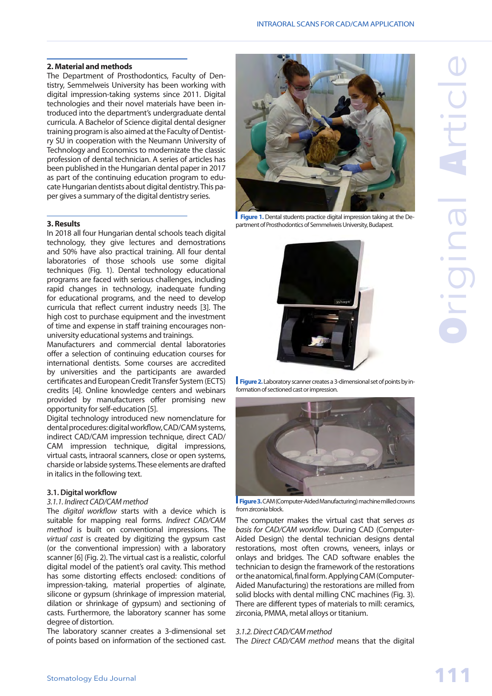#### **2. Material and methods**

The Department of Prosthodontics, Faculty of Dentistry, Semmelweis University has been working with digital impression-taking systems since 2011. Digital technologies and their novel materials have been introduced into the department's undergraduate dental curricula. A Bachelor of Science digital dental designer training program is also aimed at the Faculty of Dentistry SU in cooperation with the Neumann University of Technology and Economics to modernizate the classic profession of dental technician. A series of articles has been published in the Hungarian dental paper in 2017 as part of the continuing education program to educate Hungarian dentists about digital dentistry. This paper gives a summary of the digital dentistry series.

#### **3. Results**

In 2018 all four Hungarian dental schools teach digital technology, they give lectures and demostrations and 50% have also practical training. All four dental laboratories of those schools use some digital techniques (Fig. 1). Dental technology educational programs are faced with serious challenges, including rapid changes in technology, inadequate funding for educational programs, and the need to develop curricula that reflect current industry needs [3]. The high cost to purchase equipment and the investment of time and expense in staff training encourages nonuniversity educational systems and trainings.

Manufacturers and commercial dental laboratories offer a selection of continuing education courses for international dentists. Some courses are accredited by universities and the participants are awarded certificates and European Credit Transfer System (ECTS) credits [4]. Online knowledge centers and webinars provided by manufacturers offer promising new opportunity for self-education [5].

Digital technology introduced new nomenclature for dental procedures: digital workflow, CAD/CAM systems, indirect CAD/CAM impression technique, direct CAD/ CAM impression technique, digital impressions, virtual casts, intraoral scanners, close or open systems, charside or labside systems. These elements are drafted in italics in the following text.

#### **3.1. Digital workflow**

#### *3.1.1. Indirect CAD/CAM method*

The *digital workflow* starts with a device which is suitable for mapping real forms. *Indirect CAD/CAM method* is built on conventional impressions. The *virtual cast* is created by digitizing the gypsum cast (or the conventional impression) with a laboratory scanner [6] (Fig. 2). The virtual cast is a realistic, colorful digital model of the patient's oral cavity. This method has some distorting effects enclosed: conditions of impression-taking, material properties of alginate, silicone or gypsum (shrinkage of impression material, dilation or shrinkage of gypsum) and sectioning of casts. Furthermore, the laboratory scanner has some degree of distortion.

The laboratory scanner creates a 3-dimensional set of points based on information of the sectioned cast.



**Figure 1.** Dental students practice digital impression taking at the Department of Prosthodontics of Semmelweis University, Budapest.



**Figure 2.** Laboratory scanner creates a 3-dimensional set of points by information of sectioned cast or impression.



 **Figure 3.** CAM (Computer-Aided Manufacturing) machine milled crowns from zirconia block.

The computer makes the virtual cast that serves *as basis for CAD/CAM workflow*. During CAD (Computer-Aided Design) the dental technician designs dental restorations, most often crowns, veneers, inlays or onlays and bridges. The CAD software enables the technician to design the framework of the restorations or the anatomical, final form. Applying CAM (Computer-Aided Manufacturing) the restorations are milled from solid blocks with dental milling CNC machines (Fig. 3). There are different types of materials to mill: ceramics, zirconia, PMMA, metal alloys or titanium.

#### *3.1.2. Direct CAD/CAM method*

The *Direct CAD/CAM method* means that the digital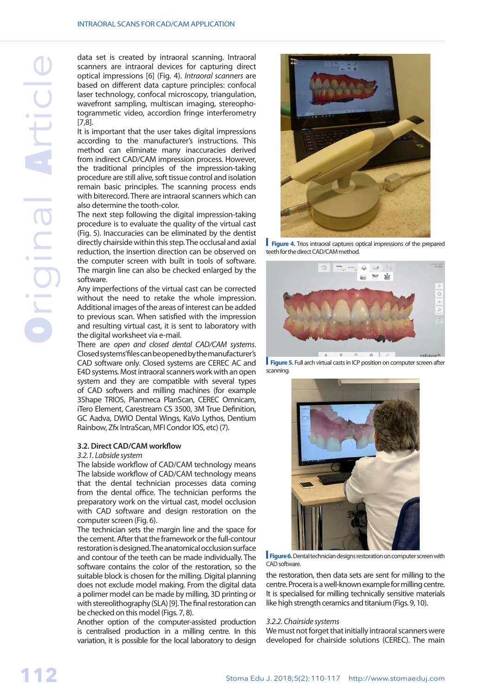data set is created by intraoral scanning. Intraoral scanners are intraoral devices for capturing direct optical impressions [6] (Fig. 4). *Intraoral scanners* are based on different data capture principles: confocal laser technology, confocal microscopy, triangulation, wavefront sampling, multiscan imaging, stereophotogrammetic video, accordion fringe interferometry [7,8].

It is important that the user takes digital impressions according to the manufacturer's instructions. This method can eliminate many inaccuracies derived from indirect CAD/CAM impression process. However, the traditional principles of the impression-taking procedure are still alive, soft tissue control and isolation remain basic principles. The scanning process ends with biterecord. There are intraoral scanners which can also determine the tooth-color.

The next step following the digital impression-taking procedure is to evaluate the quality of the virtual cast (Fig. 5). Inaccuracies can be eliminated by the dentist directly chairside within this step. The occlusal and axial reduction, the insertion direction can be observed on the computer screen with built in tools of software. The margin line can also be checked enlarged by the software.

Any imperfections of the virtual cast can be corrected without the need to retake the whole impression. Additional images of the areas of interest can be added to previous scan. When satisfied with the impression and resulting virtual cast, it is sent to laboratory with the digital worksheet via e-mail.

There are *open and closed dental CAD/CAM systems*. Closed systems' files can be opened by the manufacturer's CAD software only. Closed systems are CEREC AC and E4D systems. Most intraoral scanners work with an open system and they are compatible with several types of CAD softwers and milling machines (for example 3Shape TRIOS, Planmeca PlanScan, CEREC Omnicam, iTero Element, Carestream CS 3500, 3M True Definition, GC Aadva, DWIO Dental Wings, KaVo Lythos, Dentium Rainbow, Zfx IntraScan, MFI Condor IOS, etc) (7).

#### **3.2. Direct CAD/CAM workflow**

#### *3.2.1. Labside system*

The labside workflow of CAD/CAM technology means The labside workflow of CAD/CAM technology means that the dental technician processes data coming from the dental office. The technician performs the preparatory work on the virtual cast, model occlusion with CAD software and design restoration on the computer screen (Fig. 6).

The technician sets the margin line and the space for the cement. After that the framework or the full-contour restoration is designed. The anatomical occlusion surface and contour of the teeth can be made individually. The software contains the color of the restoration, so the suitable block is chosen for the milling. Digital planning does not exclude model making. From the digital data a polimer model can be made by milling, 3D printing or with stereolithography (SLA) [9]. The final restoration can be checked on this model (Figs. 7, 8).

Another option of the computer-assisted production is centralised production in a milling centre. In this variation, it is possible for the local laboratory to design



**Figure 4.** Trios intraoral captures optical impressions of the prepared teeth for the direct CAD/CAM method.



**Figure 5.** Full arch virtual casts in ICP position on computer screen after scanning.



**Figure 6.** Dental technician designs restoration on computer screen with CAD software.

the restoration, then data sets are sent for milling to the centre. Procera is a well-known example for milling centre. It is specialised for milling technically sensitive materials like high strength ceramics and titanium (Figs. 9, 10).

#### *3.2.2. Chairside systems*

We must not forget that initially intraoral scanners were developed for chairside solutions (CEREC). The main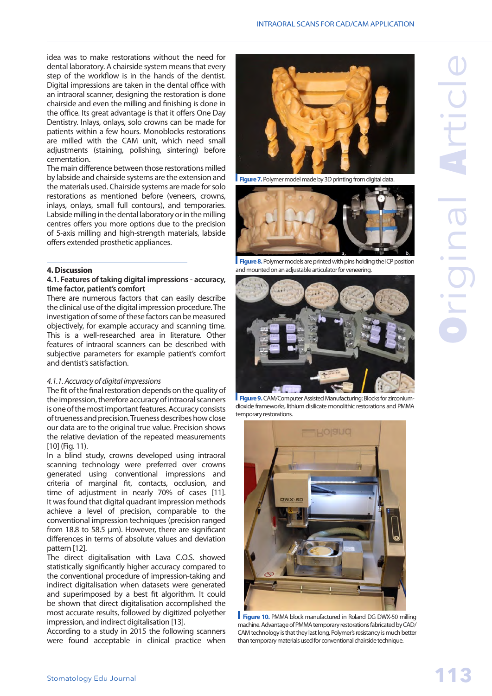idea was to make restorations without the need for dental laboratory. A chairside system means that every step of the workflow is in the hands of the dentist. Digital impressions are taken in the dental office with an intraoral scanner, designing the restoration is done chairside and even the milling and finishing is done in the office. Its great advantage is that it offers One Day Dentistry. Inlays, onlays, solo crowns can be made for patients within a few hours. Monoblocks restorations are milled with the CAM unit, which need small adjustments (staining, polishing, sintering) before cementation.

The main difference between those restorations milled by labside and chairside systems are the extension and the materials used. Chairside systems are made for solo restorations as mentioned before (veneers, crowns, inlays, onlays, small full contours), and temporaries. Labside milling in the dental laboratory or in the milling centres offers you more options due to the precision of 5-axis milling and high-strength materials, labside offers extended prosthetic appliances.

#### **4. Discussion**

#### **4.1. Features of taking digital impressions - accuracy, time factor, patient's comfort**

There are numerous factors that can easily describe the clinical use of the digital impression procedure. The investigation of some of these factors can be measured objectively, for example accuracy and scanning time. This is a well-researched area in literature. Other features of intraoral scanners can be described with subjective parameters for example patient's comfort and dentist's satisfaction.

#### *4.1.1. Accuracy of digital impressions*

The fit of the final restoration depends on the quality of the impression, therefore accuracy of intraoral scanners is one of the most important features. Accuracy consists of trueness and precision. Trueness describes how close our data are to the original true value. Precision shows the relative deviation of the repeated measurements [10] (Fig. 11).

In a blind study, crowns developed using intraoral scanning technology were preferred over crowns generated using conventional impressions and criteria of marginal fit, contacts, occlusion, and time of adjustment in nearly 70% of cases [11]. It was found that digital quadrant impression methods achieve a level of precision, comparable to the conventional impression techniques (precision ranged from 18.8 to 58.5 μm). However, there are significant differences in terms of absolute values and deviation pattern [12].

The direct digitalisation with Lava C.O.S. showed statistically significantly higher accuracy compared to the conventional procedure of impression-taking and indirect digitalisation when datasets were generated and superimposed by a best fit algorithm. It could be shown that direct digitalisation accomplished the most accurate results, followed by digitized polyether impression, and indirect digitalisation [13].

According to a study in 2015 the following scanners were found acceptable in clinical practice when



**Figure 7.** Polymer model made by 3D printing from digital data.



**Figure 8.** Polymer models are printed with pins holding the ICP position and mounted on an adjustable articulator for veneering.



 **Figure 9.** CAM/Computer Assisted Manufacturing: Blocks for zirconiumdioxide frameworks, lithium disilicate monolithic restorations and PMMA temporary restorations.



 **Figure 10.** PMMA block manufactured in Roland DG DWX-50 milling machine. Advantage of PMMA temporary restorations fabricated by CAD/ CAM technology is that they last long. Polymer's resistancy is much better than temporary materials used for conventional chairside technique.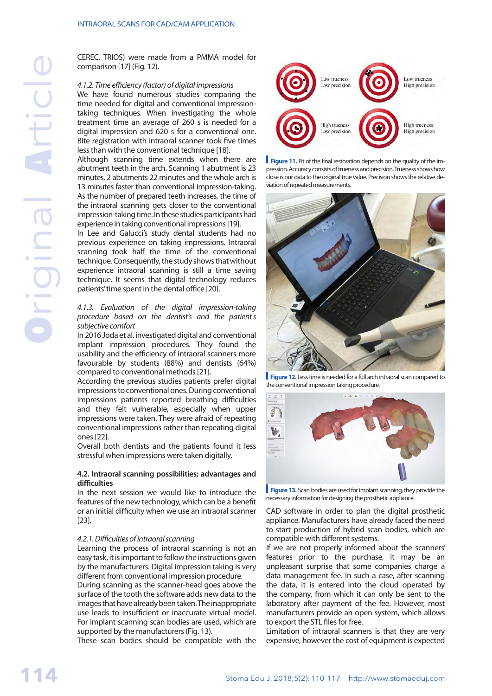CEREC, TRIOS) were made from a PMMA model for comparison [17] (Fig. 12).

#### *4.1.2. Time efficiency (factor) of digital impressions*

We have found numerous studies comparing the time needed for digital and conventional impressiontaking techniques. When investigating the whole treatment time an average of 260 s is needed for a digital impression and 620 s for a conventional one. Bite registration with intraoral scanner took five times less than with the conventional technique [18].

Although scanning time extends when there are abutment teeth in the arch. Scanning 1 abutment is 23 minutes, 2 abutments 22 minutes and the whole arch is 13 minutes faster than conventional impression-taking. As the number of prepared teeth increases, the time of the intraoral scanning gets closer to the conventional impression-taking time. In these studies participants had experience in taking conventional impressions [19].

In Lee and Galucci's study dental students had no previous experience on taking impressions. Intraoral scanning took half the time of the conventional technique. Consequently, the study shows that without experience intraoral scanning is still a time saving technique. It seems that digital technology reduces patients' time spent in the dental office [20].

#### *4.1.3. Evaluation of the digital impression-taking procedure based on the dentist's and the patient's subjective comfort*

In 2016 Joda et al. investigated digital and conventional implant impression procedures. They found the usability and the efficiency of intraoral scanners more favourable by students (88%) and dentists (64%) compared to conventional methods [21].

According the previous studies patients prefer digital impressions to conventional ones. During conventional impressions patients reported breathing difficulties and they felt vulnerable, especially when upper impressions were taken. They were afraid of repeating conventional impressions rather than repeating digital ones [22].

Overall both dentists and the patients found it less stressful when impressions were taken digitally.

#### **4.2. Intraoral scanning possibilities; advantages and difficulties**

In the next session we would like to introduce the features of the new technology, which can be a benefit or an initial difficulty when we use an intraoral scanner [23].

#### *4.2.1. Difficulties of intraoral scanning*

Learning the process of intraoral scanning is not an easy task, it is important to follow the instructions given by the manufacturers. Digital impression taking is very different from conventional impression procedure.

During scanning as the scanner-head goes above the surface of the tooth the software adds new data to the images that have already been taken. The inappropriate use leads to insufficient or inaccurate virtual model. For implant scanning scan bodies are used, which are supported by the manufacturers (Fig. 13).

These scan bodies should be compatible with the







**Figure 12.** Less time is needed for a full arch intraoral scan compared to the conventional impression taking procedure.



**Figure 13.** Scan bodies are used for implant scanning, they provide the necessary information for designing the prosthetic appliance.

CAD software in order to plan the digital prosthetic appliance. Manufacturers have already faced the need to start production of hybrid scan bodies, which are compatible with different systems.

If we are not properly informed about the scanners' features prior to the purchase, it may be an unpleasant surprise that some companies charge a data management fee. In such a case, after scanning the data, it is entered into the cloud operated by the company, from which it can only be sent to the laboratory after payment of the fee. However, most manufacturers provide an open system, which allows to export the STL files for free.

Limitation of intraoral scanners is that they are very expensive, however the cost of equipment is expected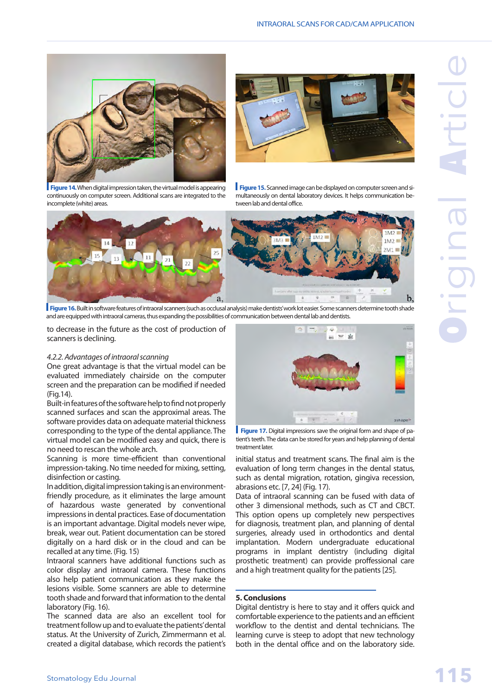



**Figure 14.** When digital impression taken, the virtual model is appearing continuously on computer screen. Additional scans are integrated to the incomplete (white) areas.

**Figure 15.** Scanned image can be displayed on computer screen and simultaneously on dental laboratory devices. It helps communication between lab and dental office.



**Figure 16.** Built in software features of intraoral scanners (such as occlusal analysis) make dentists' work lot easier. Some scanners determine tooth shade and are equipped with intraoral cameras, thus expanding the possibilities of communication between dental lab and dentists.

to decrease in the future as the cost of production of scanners is declining.

#### *4.2.2. Advantages of intraoral scanning*

One great advantage is that the virtual model can be evaluated immediately chairside on the computer screen and the preparation can be modified if needed (Fig.14).

Built-in features of the software help to find not properly scanned surfaces and scan the approximal areas. The software provides data on adequate material thickness corresponding to the type of the dental appliance. The virtual model can be modified easy and quick, there is no need to rescan the whole arch.

Scanning is more time-efficient than conventional impression-taking. No time needed for mixing, setting, disinfection or casting.

In addition, digital impression taking is an environmentfriendly procedure, as it eliminates the large amount of hazardous waste generated by conventional impressions in dental practices. Ease of documentation is an important advantage. Digital models never wipe, break, wear out. Patient documentation can be stored digitally on a hard disk or in the cloud and can be recalled at any time. (Fig. 15)

Intraoral scanners have additional functions such as color display and intraoral camera. These functions also help patient communication as they make the lesions visible. Some scanners are able to determine tooth shade and forward that information to the dental laboratory (Fig. 16).

The scanned data are also an excellent tool for treatment follow up and to evaluate the patients' dental status. At the University of Zurich, Zimmermann et al. created a digital database, which records the patient's



**Figure 17.** Digital impressions save the original form and shape of patient's teeth. The data can be stored for years and help planning of dental treatment later.

initial status and treatment scans. The final aim is the evaluation of long term changes in the dental status, such as dental migration, rotation, gingiva recession, abrasions etc. [7, 24] (Fig. 17).

Data of intraoral scanning can be fused with data of other 3 dimensional methods, such as CT and CBCT. This option opens up completely new perspectives for diagnosis, treatment plan, and planning of dental surgeries, already used in orthodontics and dental implantation. Modern undergraduate educational programs in implant dentistry (including digital prosthetic treatment) can provide proffessional care and a high treatment quality for the patients [25].

#### **5. Conclusions**

Digital dentistry is here to stay and it offers quick and comfortable experience to the patients and an efficient workflow to the dentist and dental technicians. The learning curve is steep to adopt that new technology both in the dental office and on the laboratory side.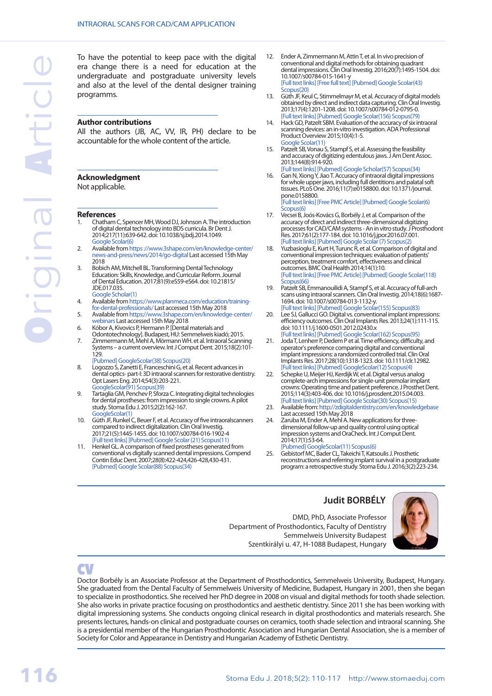To have the potential to keep pace with the digital era change there is a need for education at the undergraduate and postgraduate university levels and also at the level of the dental designer training programms.

#### **Author contributions**

All the authors (JB, AC, VV, IR, PH) declare to be accountable for the whole content of the article.

#### **Acknowledgment**

Not applicable.

#### **References**

- 1. Chatham C, Spencer MH, Wood DJ, Johnson A. The introduction of digital dental technology into BDS curricula. Br Dent J. 2014;217(11):639-642. doi: 10.1038/sj.bdj.2014.1049. [Google Scolar\(6\)](https://scholar.google.ro/scholar?cites=3970197378921175397&as_sdt=2005&sciodt=0,5&hl=en)
- 2. Available from https [://www.3shape.com/en/knowledge-center/](https://www.3shape.com/en/knowledge-center/news-and-press/news/2014/go-digital) [news-and-press/news/2014/go-digital](https://www.3shape.com/en/knowledge-center/news-and-press/news/2014/go-digital) Last accessed 15th May 2018
- 3. Bobich AM, Mitchell BL. Transforming Dental Technology Education: Skills, Knowledge, and Curricular Reform. Journal of Dental Education. 2017;81(9):eS59-eS64. doi: 10.21815/ JDE.017.035. [Google Scholar\(1\)](Transforming Dental Technology Education: Skills, Knowledge, and Curricular Reform)
- 4. Available from [https://www.planmeca.com/education/training-](https://www.planmeca.com/education/training-for-dental-professionals/)
- [for-dental-professionals/](https://www.planmeca.com/education/training-for-dental-professionals/) Last accessed 15th May 2018
- 5. Available from [https://www.3shape.com/en/knowledge-center/](https://www.3shape.com/en/knowledge-center/webinars)
- [webinars](https://www.3shape.com/en/knowledge-center/webinars) Last accessed 15th May 2018 6. Kóbor A, Kivovics P, Hermann P. [Dental materials and
- Odontotechnology]. Budapest, HU: Semmelweis kiadó; 2015. 7. Zimmermann M, Mehl A, Mörmann WH. et al. Intraoral Scanning Systems – a current overview. Int J Comput Dent. 2015;18(2):101-
- 129. [\[Pubmed\]](https://www.ncbi.nlm.nih.gov/pubmed/26110925) [GoogleScolar\(38\)](https://scholar.google.ru/scholar?cluster=6156428550199308153&hl=ru&as_sdt=0,5) [Scopus\(20\)](https://www.scopus.com/record/display.uri?eid=2-s2.0-84938689051&origin=resultslist&sort=plf-f&src=s&st1=Intraoral+scanning+systems+-+a+current+overview.&st2=&sid=71f6233b89235f65910e9c8771853f69&sot=b&sdt=b&sl=63&s=TITLE-ABS-KEY%28Intraoral+scanning+systems+-+a+current+overview.%29&relpos=0&citeCnt=20&searchTerm=) 8. Logozzo S, Zanetti E, Franceschini G, et al. Recent advances in
- dental optics- part-I: 3D intraoral scanners for restorative dentistry. Opt Lasers Eng. 2014;54(3):203-221. [GoogleScolar\(91\)](https://scholar.google.ru/scholar?cluster=7519134395284236583&hl=ru&as_sdt=0,5) [Scopus\(39\)](https://www.scopus.com/record/display.uri?eid=2-s2.0-84889078508&origin=resultslist&sort=plf-f&src=s&st1=Recent+advances+in+dental+optics-+part-I%3a+3D+intraoral+scanners+for+restorative+dentistry&st2=&sid=41f1739e8f6ab1e1dfff84793578c365&sot=b&sdt=b&sl=104&s=TITLE-ABS-KEY%28Recent+advances+in+dental+optics-+part-I%3a+3D+intraoral+scanners+for+restorative+dentistry%29&relpos=0&citeCnt=39&searchTerm=)
- 9. Tartaglia GM, Penchev P, Sforza C. Integrating digital technologies for dental prostheses: from impression to single crowns. A pilot study. Stoma Edu J. 2015;2(2):162-167. [GoogleScolar\(1\)](https://scholar.google.ro/scholar?cites=3547292035621833122&as_sdt=2005&sciodt=0,5&hl=en)
- 10. Güth JF, Runkel C, Beuer F, et al. Accuracy of five intraoralscanners compared to indirect digitalization. Clin Oral Investig. 2017;21(5):1445-1455. doi: 10.1007/s00784-016-1902-4
- [\[Full text links\]](https://dx.doi.org/10.1007/s00784-016-1902-4) [\[Pubmed\]](https://www.ncbi.nlm.nih.gov/pubmed/27406138) [Google Scolar \(21\)](https://scholar.google.ru/scholar?cluster=17091168055482328774&hl=ru&as_sdt=0,5) Scopus(11 11. Henkel GL. A comparison of fixed prostheses generated from conventional vs digitally scanned dental impressions. Compend Contin Educ Dent. 2007;28(8):422-424,426-428,430-431. [\[Pubmed\]](https://www.ncbi.nlm.nih.gov/pubmed/18578100) [Google Scolar\(88\)](https://scholar.google.ru/scholar?cluster=5162558541849725557&hl=ru&as_sdt=0,5) [Scopus\(34\)](https://www.scopus.com/record/display.uri?eid=2-s2.0-52449134942&origin=resultslist&sort=plf-f&src=s&st1=A+comparison+of+fixed+prostheses+generated+from+conventional+vs+digitally+scanned+dental+impressions&st2=&sid=4d7e3c955f3d1986de954aab76f3f02f&sot=b&sdt=b&sl=115&s=TITLE-ABS-KEY%28A+comparison+of+fixed+prostheses+generated+from+conventional+vs+digitally+scanned+dental+impressions%29&relpos=0&citeCnt=34&searchTerm=)
- 12. Ender A, Zimmermann M, Attin T, et al. In vivo precision of conventional and digital methods for obtaining quadrant dental impressions. Clin Oral Investig. 2016;20(7):1495-1504. doi: 10.1007/s00784-015-1641-y [\[Full text links\]](https://dx.doi.org/10.1007/s00784-015-1641-y) [\[Free full text\]](https://doi.org/10.5167/uzh-118341) [\[Pubmed\]](https://www.ncbi.nlm.nih.gov/pubmed/26547869) [Google Scolar\(43\)](https://scholar.google.ru/scholar?cluster=14584915966291057484&hl=ru&as_sdt=0,5) [Scopus\(20\)](https://www.scopus.com/record/display.uri?eid=2-s2.0-84946780774&origin=resultslist&sort=plf-f&src=s&st1=In+vivo+precision+of+conventional+and+digital+methods+for+obtaining+quadrant+dental+impressions&st2=&sid=293b05b97cc5f76f844e9e61a307f9a6&sot=b&sdt=b&sl=110&s=TITLE-ABS-KEY%28In+vivo+precision+of+conventional+and+digital+methods+for+obtaining+quadrant+dental+impressions%29&relpos=0&citeCnt=20&searchTerm=)
- 13. Güth JF, Keul C, Stimmelmayr M, et al. Accuracy of digital models obtained by direct and indirect data capturing. Clin Oral Investig. 2013;17(4):1201-1208. doi: 10.1007/s00784-012-0795-0. [\[Full text links\]](https://dx.doi.org/10.1007/s00784-012-0795-0)[\[Pubmed\]](https://www.ncbi.nlm.nih.gov/pubmed/22847854)[Google Scolar\(156\)](https://scholar.google.ru/scholar?cluster=13906425189673916460&hl=ru&as_sdt=0,5) [Scopus\(79\)](https://www.scopus.com/record/display.uri?eid=2-s2.0-84876426016&origin=resultslist&sort=plf-f&src=s&st1=Accuracy+of+digital+models+obtained+by+direct+and+indirect+data+capturing&st2=&sid=81bf299f0b90fb26f1715e53dc88e969&sot=b&sdt=b&sl=88&s=TITLE-ABS-KEY%28Accuracy+of+digital+models+obtained+by+direct+and+indirect+data+capturing%29&relpos=0&citeCnt=79&searchTerm=)
- 14. Hack GD, Patzelt SBM. Evaluation of the accuracy of six intraoral scanning devices: an in-vitro investigation. ADA Professional Product Overview 2015;10(4):1-5. [Google Scolar\(11\)](https://scholar.google.ru/scholar?hl=ru&as_sdt=0%2C5&q=Evaluation+of+the+Accuracy+of+Six+Intraoral+Scanning+Devices%3A+An+in-vitro+Investigation&btnG=)
- 15. [Patzelt SB](https://www.ncbi.nlm.nih.gov/pubmed/?term=Patzelt SB%5BAuthor%5D&cauthor=true&cauthor_uid=23904578), Vonau S, Stampf S, et al. Assessing the feasibility and accuracy of digitizing edentulous jaws. J Am Dent Assoc. 2013;144(8):914-920. [\[Full text links\]](https://linkinghub.elsevier.com/retrieve/pii/S0002-8177(14)60511-0) [\[Pubmed\]](https://www.ncbi.nlm.nih.gov/pubmed/23904578) [Google Scholar\(57\)](https://scholar.google.ru/scholar?cluster=18283607416945266544&hl=ru&as_sdt=0,5) [Scopus\(34\)](https://www.scopus.com/record/display.uri?eid=2-s2.0-84883430030&origin=resultslist&sort=plf-f&src=s&st1=Assessing+the+feasibility+and+accuracy+of+digitizing+edentulous+jaws&st2=&sid=a8dcfbd015fe7f057607b4582c3db396&sot=b&sdt=b&sl=83&s=TITLE-ABS-KEY%28Assessing+the+feasibility+and+accuracy+of+digitizing+edentulous+jaws%29&relpos=0&citeCnt=34&searchTerm=)
- 16. Gan N, Xiong Y, Jiao T. Accuracy of intraoral digital impressions for whole upper jaws, including full dentitions and palatal soft tissues. PLoS One. 2016;11(7):e0158800. doi: 10.1371/journal. pone.0158800.
- [\[Full text links\]](https://www.ncbi.nlm.nih.gov/corehtml/query/egifs/http:--journals.plos.org-plosone-resource-img-external-pone_120x30.png)[\[Free PMC Article\]](https://www.ncbi.nlm.nih.gov/pmc/articles/pmid/27383409/)[\[Pubmed\]](https://www.ncbi.nlm.nih.gov/pubmed/27383409)[Google Scolar\(6\)](https://scholar.google.ru/scholar?cluster=5983866084425843094&hl=ru&as_sdt=0,5) [Scopus\(6\)](https://www.scopus.com/record/display.uri?eid=2-s2.0-84978062169&origin=resultslist&sort=plf-f&src=s&st1=Accuracy+of+Intraoral+Digital+Impressions+for+Whole+Upper+Jaws%2c+Including+Full+Dentitions+and+Palatal+Soft+Tissues&st2=&sid=31971c4c1e57f15bbdeab23537b4fcec&sot=b&sdt=b&sl=129&s=TITLE-ABS-KEY%28Accuracy+of+Intraoral+Digital+Impressions+for+Whole+Upper+Jaws%2c+Including+Full+Dentitions+and+Palatal+Soft+Tissues%29&relpos=0&citeCnt=6&searchTerm=)
- 17. Vecsei B, Joós-Kovács G, Borbély J, et al. Comparison of the accuracy of direct and indirect three-dimensional digitizing processes for CAD/CAM systems - An in vitro study. J Prosthodont Res. 2017;61(2):177-184. doi: 10.1016/j.jpor.2016.07.001. [\[Full text links\]](https://linkinghub.elsevier.com/retrieve/pii/S1883-1958(16)30062-7) [\[Pubmed\]](https://www.ncbi.nlm.nih.gov/pubmed/27461088) [Google Scolar \(7\)](https://scholar.google.ru/scholar?cluster=5355734875943085590&hl=ru&as_sdt=0,5) [Scopus\(2\)](https://www.scopus.com/record/display.uri?eid=2-s2.0-85008324986&origin=resultslist&sort=plf-f&src=s&st1=Comparison+of+the+accuracy+of+direct+and+indirect+three-dimensional+digitizing+processes+for+CAD%2fCAM+systems+-+An+in+vitro+study&st2=&sid=ba9941adbe271d0d914627f4174f82e9&sot=b&sdt=b&sl=143&s=TITLE-ABS-KEY%28Comparison+of+the+accuracy+of+direct+and+indirect+three-dimensional+digitizing+processes+for+CAD%2fCAM+systems+-+An+in+vitro+study%29&relpos=0&citeCnt=2&searchTerm=)
- 18. Yuzbasioglu E, Kurt H, Turunc R, et al. Comparison of digital and conventional impression techniques: evaluation of patients' perception, treatment comfort, effectiveness and clinical outcomes. BMC Oral Health 2014;14(1):10. [\[Full text links\]](https://bmcoralhealth.biomedcentral.com/articles/10.1186/1472-6831-14-10) [\[Free PMC Article\]](https://www.ncbi.nlm.nih.gov/pmc/articles/pmid/24479892/) [\[Pubmed\]](https://www.ncbi.nlm.nih.gov/pubmed/24479892) [Google Scolar\(118\)](https://scholar.google.ru/scholar?cluster=13059858976225581847&hl=ru&as_sdt=0,5) [Scopus\(66\)](https://www.scopus.com/record/display.uri?eid=2-s2.0-84893205192&origin=resultslist&sort=plf-f&src=s&st1=Comparison+of+digital+and+conventional+impression+techniques%3a+evaluation+of+patients%27+perception%2c+treatment+comfort%2c+effectiveness+and+clinical+outcomes&st2=&sid=ac4b2e90ab7a488199bb1a3f97dc40a1&sot=b&sdt=b&sl=167&s=TITLE-ABS-KEY%28Comparison+of+digital+and+conventional+impression+techniques%3a+evaluation+of+patients%27+perception%2c+treatment+comfort%2c+effectiveness+and+clinical+outcomes%29&relpos=0&citeCnt=66&searchTerm=)
- 19. Patzelt SB, Emmanouilidi A, Stampf S, et al. Accuracy of full-arch scans using intraoral scanners. Clin Oral Investig. 2014;18(6):1687- 1694. doi: 10.1007/s00784-013-1132-y. [\[Full text links\]](https://dx.doi.org/10.1007/s00784-013-1132-y) [\[Pubmed\]](https://www.ncbi.nlm.nih.gov/pubmed/24240949) [Google Scolar\(155\)](https://scholar.google.ru/scholar?cluster=629121045528376712&hl=ru&as_sdt=0,5) [Scopus\(83\)](https://www.scopus.com/record/display.uri?eid=2-s2.0-84902765111&origin=resultslist&sort=plf-f&src=s&st1=Accuracy+of+full-arch+scans+using+intraoral+scanners&st2=&sid=5134c22490b2edbc5dc5b5ae249e976b&sot=b&sdt=b&sl=67&s=TITLE-ABS-KEY%28Accuracy+of+full-arch+scans+using+intraoral+scanners%29&relpos=15&citeCnt=83&searchTerm=)
- 20. Lee SJ, Gallucci GO. Digital vs. conventional implant impressions: efficiency outcomes. Clin Oral Implants Res. 2013;24(1):111-115. doi: 10.1111/j.1600-0501.2012.02430.x [\[Full text links\]](http://dx.doi.org/10.1111/j.1600-0501.2012.02430.x)[\[Pubmed\]](https://www.ncbi.nlm.nih.gov/pubmed/22353208)[Google Scolar\(162\)](https://scholar.google.ru/scholar?cluster=16491178284011962012&hl=ru&as_sdt=0,5) [Scopus\(95\)](https://www.scopus.com/record/display.uri?eid=2-s2.0-84871692499&origin=resultslist&sort=plf-f&src=s&st1=Digital+vs.+conventional+implant+impressions%3a+efficiency+outcomes&st2=&sid=5c6e4f1416f7457e5dc9ae05ac473f61&sot=b&sdt=b&sl=80&s=TITLE-ABS-KEY%28Digital+vs.+conventional+implant+impressions%3a+efficiency+outcomes%29&relpos=0&citeCnt=95&searchTerm=)
- 21. Joda T, Lenherr P, Dedem P et al. Time efficiency, difficulty, and operator's preference comparing digital and conventional implant impressions: a randomized controlled trial. Clin Oral Implants Res. 2017;28(10):1318-1323. doi: 10.1111/clr.12982. [\[Full text links\]](http://dx.doi.org/10.1111/clr.12982) [Pubmed] [GoogleScolar\(12\)](https://scholar.google.ru/scholar?cluster=1642219496255113903&hl=ru&as_sdt=0,5) [Scopus\(4\)](https://www.scopus.com/record/display.uri?eid=2-s2.0-84985905659&origin=resultslist&sort=plf-f&src=s&st1=Time+efficiency%2c+difficulty%2c+and+operator%27s+preference+comparing+digital+and+conventional+implant+impressions%3a+a+randomized+controlled+trial.+&st2=&sid=8476e6d08c6870370282f93714f91758&sot=b&sdt=b&sl=157&s=TITLE-ABS-KEY%28Time+efficiency%2c+difficulty%2c+and+operator%27s+preference+comparing+digital+and+conventional+implant+impressions%3a+a+randomized+controlled+trial.+%29&relpos=0&citeCnt=4&searchTerm=)
- 22. Schepke U, Meijer HJ, Kerdijk W, et al. Digital versus analog complete-arch impressions for single-unit premolar implant crowns: Operating time and patient preference. J Prosthet Dent. 2015;114(3):403-406. doi: 10.1016/j.prosdent.2015.04.003. [\[Full text links\]](https://linkinghub.elsevier.com/retrieve/pii/S0022-3913(15)00202-4)[\[Pubmed\]](https://www.ncbi.nlm.nih.gov/pubmed/26047800)[Google Scolar\(30\)](https://scholar.google.ru/scholar?cluster=12508210270430211579&hl=ru&as_sdt=0,5) [Scopus\(15\)](https://www.scopus.com/record/display.uri?eid=2-s2.0-84940718800&origin=resultslist&sort=plf-f&src=s&st1=Digital+versus+analog+complete-arch+impressions+for+single-unit+premolar+implant+crowns%3a+Operating+time+and+patient+preference&st2=&sid=23bfc5e2e49dd86984698ced30c037c2&sot=b&sdt=b&sl=141&s=TITLE-ABS-KEY%28Digital+versus+analog+complete-arch+impressions+for+single-unit+premolar+implant+crowns%3a+Operating+time+and+patient+preference%29&relpos=0&citeCnt=15&searchTerm=)
- 23. Available from:<http://zdigitaldentistry.com/en/knowledgebase> Last accessed 15th May 2018
- 24. Zaruba M, Ender A, Mehl A. New applications for threedimensional follow-up and quality control using optical impression systems and OraCheck. Int J Comput Dent. 2014;17(1):53-64.
- [\[Pubmed\]](https://www.ncbi.nlm.nih.gov/pubmed/24791465) [GoogleScolar\(11\)](https://scholar.google.ru/scholar?cluster=5916848705276487673&hl=ru&as_sdt=0,5) [Scopus\(6\)](https://www.scopus.com/record/display.uri?eid=2-s2.0-84901845273&origin=resultslist&sort=plf-f&src=s&st1=New+applications+for+three-dimensional+follow-up+and+quality+control+using+optical+impression+systems+and+OraCheck&st2=&sid=a5baa97d3d5f927301dd8b724ab80490&sot=b&sdt=b&sl=129&s=TITLE-ABS-KEY%28New+applications+for+three-dimensional+follow-up+and+quality+control+using+optical+impression+systems+and+OraCheck%29&relpos=0&citeCnt=6&searchTerm=) 25. Gebistorf MC, Bader CL, Takeichi T, Katsoulis J. Prosthetic reconstructions and referring implant survival in a postgraduate program: a retrospective study. Stoma Edu J. 2016;3(2):223-234.

## **Judit BORBÉLY**

DMD, PhD, Associate Professor Department of Prosthodontics, Faculty of Dentistry Semmelweis University Budapest Szentkirályi u. 47, H-1088 Budapest, Hungary



# **CV**

Doctor Borbély is an Associate Professor at the Department of Prosthodontics, Semmelweis University, Budapest, Hungary. She graduated from the Dental Faculty of Semmelweis University of Medicine, Budapest, Hungary in 2001, then she began to specialize in prosthodontics. She received her PhD degree in 2008 on visual and digital methods for tooth shade selection. She also works in private practice focusing on prosthodontics and aesthetic dentistry. Since 2011 she has been working with digital impressioning systems. She conducts ongoing clinical research in digital prosthodontics and materials research. She presents lectures, hands-on clinical and postgraduate courses on ceramics, tooth shade selection and intraoral scanning. She is a presidential member of the Hungarian Prosthodontic Association and Hungarian Dental Association, she is a member of Society for Color and Appearance in Dentistry and Hungarian Academy of Esthetic Dentistry.